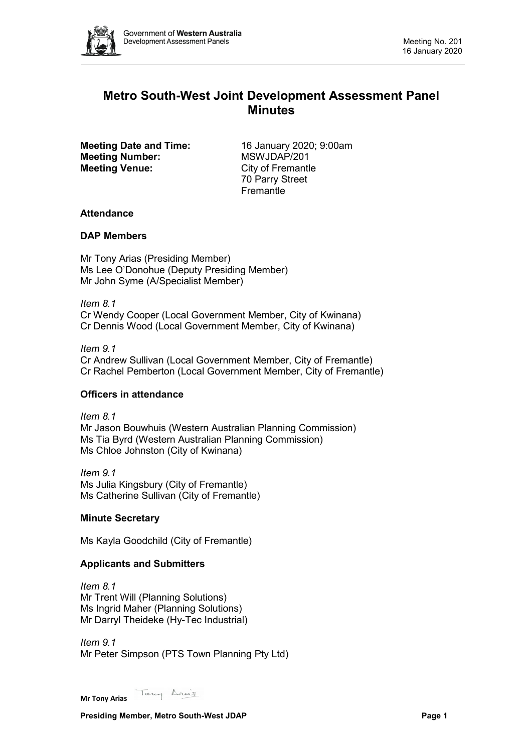

# **Metro South-West Joint Development Assessment Panel Minutes**

**Meeting Date and Time:** 16 January 2020; 9:00am<br> **Meeting Number:** MSWJDAP/201 **Meeting Number: Meeting Venue:** City of Fremantle

70 Parry Street **Fremantle** 

# **Attendance**

# **DAP Members**

Mr Tony Arias (Presiding Member) Ms Lee O'Donohue (Deputy Presiding Member) Mr John Syme (A/Specialist Member)

*Item 8.1* Cr Wendy Cooper (Local Government Member, City of Kwinana) Cr Dennis Wood (Local Government Member, City of Kwinana)

*Item 9.1*

Cr Andrew Sullivan (Local Government Member, City of Fremantle) Cr Rachel Pemberton (Local Government Member, City of Fremantle)

# **Officers in attendance**

*Item 8.1* Mr Jason Bouwhuis (Western Australian Planning Commission) Ms Tia Byrd (Western Australian Planning Commission) Ms Chloe Johnston (City of Kwinana)

*Item 9.1* Ms Julia Kingsbury (City of Fremantle) Ms Catherine Sullivan (City of Fremantle)

# **Minute Secretary**

Ms Kayla Goodchild (City of Fremantle)

# **Applicants and Submitters**

*Item 8.1* Mr Trent Will (Planning Solutions) Ms Ingrid Maher (Planning Solutions) Mr Darryl Theideke (Hy-Tec Industrial)

*Item 9.1* Mr Peter Simpson (PTS Town Planning Pty Ltd)

Tany Anas **Mr Tony Arias**

**Presiding Member, Metro South-West JDAP Page 1**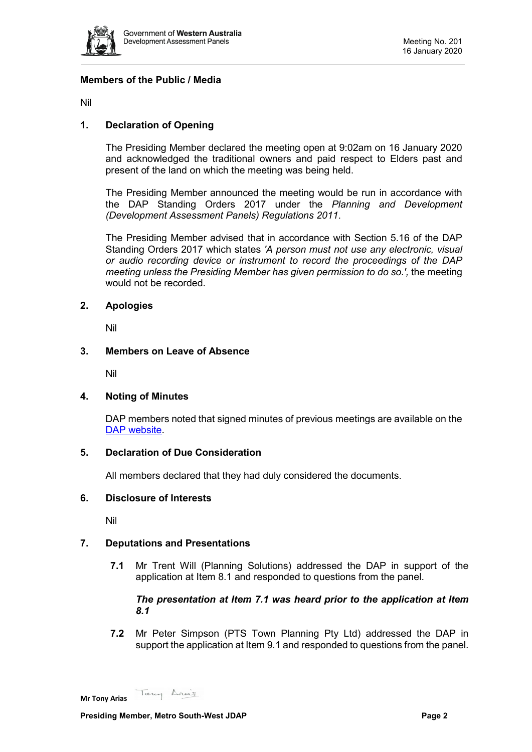

# **Members of the Public / Media**

Nil

# **1. Declaration of Opening**

The Presiding Member declared the meeting open at 9:02am on 16 January 2020 and acknowledged the traditional owners and paid respect to Elders past and present of the land on which the meeting was being held.

The Presiding Member announced the meeting would be run in accordance with the DAP Standing Orders 2017 under the *Planning and Development (Development Assessment Panels) Regulations 2011*.

The Presiding Member advised that in accordance with Section 5.16 of the DAP Standing Orders 2017 which states *'A person must not use any electronic, visual or audio recording device or instrument to record the proceedings of the DAP meeting unless the Presiding Member has given permission to do so.',* the meeting would not be recorded.

### **2. Apologies**

Nil

### **3. Members on Leave of Absence**

Nil

# **4. Noting of Minutes**

DAP members noted that signed minutes of previous meetings are available on the [DAP website.](https://www.dplh.wa.gov.au/about/development-assessment-panels/daps-agendas-and-minutes)

# **5. Declaration of Due Consideration**

All members declared that they had duly considered the documents.

#### **6. Disclosure of Interests**

Nil

# **7. Deputations and Presentations**

**7.1** Mr Trent Will (Planning Solutions) addressed the DAP in support of the application at Item 8.1 and responded to questions from the panel.

### *The presentation at Item 7.1 was heard prior to the application at Item 8.1*

**7.2** Mr Peter Simpson (PTS Town Planning Pty Ltd) addressed the DAP in support the application at Item 9.1 and responded to questions from the panel.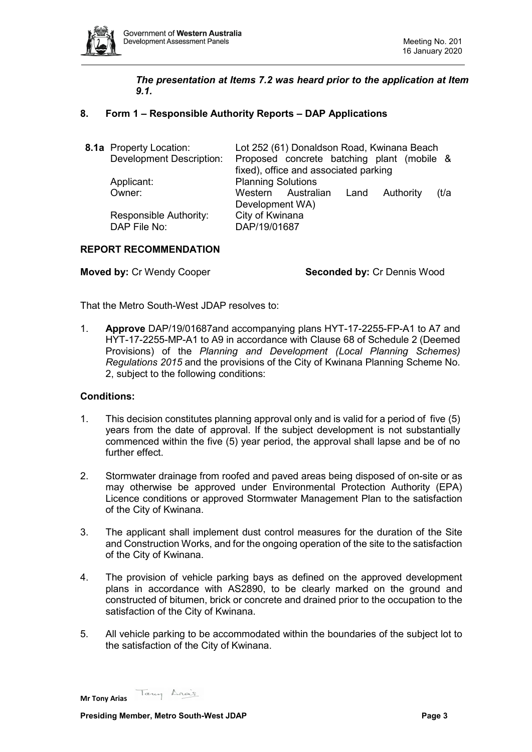

# *The presentation at Items 7.2 was heard prior to the application at Item 9.1.*

# **8. Form 1 – Responsible Authority Reports – DAP Applications**

| 8.1a Property Location:<br><b>Development Description:</b> | Lot 252 (61) Donaldson Road, Kwinana Beach<br>Proposed concrete batching plant (mobile &<br>fixed), office and associated parking |
|------------------------------------------------------------|-----------------------------------------------------------------------------------------------------------------------------------|
| Applicant:<br>Owner:                                       | <b>Planning Solutions</b><br>Western Australian Land<br>Authority<br>(t/a                                                         |
| Responsible Authority:<br>DAP File No:                     | Development WA)<br>City of Kwinana<br>DAP/19/01687                                                                                |

# **REPORT RECOMMENDATION**

**Moved by:** Cr Wendy Cooper **Seconded by:** Cr Dennis Wood

That the Metro South-West JDAP resolves to:

1. **Approve** DAP/19/01687and accompanying plans HYT-17-2255-FP-A1 to A7 and HYT-17-2255-MP-A1 to A9 in accordance with Clause 68 of Schedule 2 (Deemed Provisions) of the *Planning and Development (Local Planning Schemes) Regulations 2015* and the provisions of the City of Kwinana Planning Scheme No. 2, subject to the following conditions:

#### **Conditions:**

- 1. This decision constitutes planning approval only and is valid for a period of five (5) years from the date of approval. If the subject development is not substantially commenced within the five (5) year period, the approval shall lapse and be of no further effect.
- 2. Stormwater drainage from roofed and paved areas being disposed of on-site or as may otherwise be approved under Environmental Protection Authority (EPA) Licence conditions or approved Stormwater Management Plan to the satisfaction of the City of Kwinana.
- 3. The applicant shall implement dust control measures for the duration of the Site and Construction Works, and for the ongoing operation of the site to the satisfaction of the City of Kwinana.
- 4. The provision of vehicle parking bays as defined on the approved development plans in accordance with AS2890, to be clearly marked on the ground and constructed of bitumen, brick or concrete and drained prior to the occupation to the satisfaction of the City of Kwinana.
- 5. All vehicle parking to be accommodated within the boundaries of the subject lot to the satisfaction of the City of Kwinana.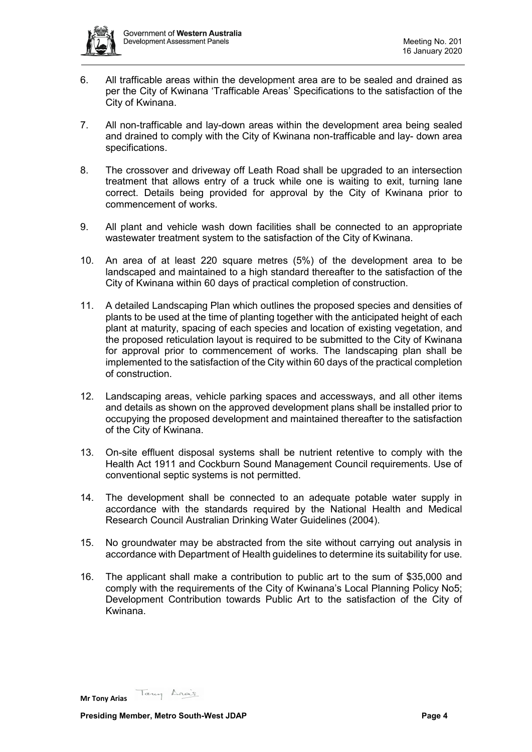

- 6. All trafficable areas within the development area are to be sealed and drained as per the City of Kwinana 'Trafficable Areas' Specifications to the satisfaction of the City of Kwinana.
- 7. All non-trafficable and lay-down areas within the development area being sealed and drained to comply with the City of Kwinana non-trafficable and lay- down area specifications.
- 8. The crossover and driveway off Leath Road shall be upgraded to an intersection treatment that allows entry of a truck while one is waiting to exit, turning lane correct. Details being provided for approval by the City of Kwinana prior to commencement of works.
- 9. All plant and vehicle wash down facilities shall be connected to an appropriate wastewater treatment system to the satisfaction of the City of Kwinana.
- 10. An area of at least 220 square metres (5%) of the development area to be landscaped and maintained to a high standard thereafter to the satisfaction of the City of Kwinana within 60 days of practical completion of construction.
- 11. A detailed Landscaping Plan which outlines the proposed species and densities of plants to be used at the time of planting together with the anticipated height of each plant at maturity, spacing of each species and location of existing vegetation, and the proposed reticulation layout is required to be submitted to the City of Kwinana for approval prior to commencement of works. The landscaping plan shall be implemented to the satisfaction of the City within 60 days of the practical completion of construction.
- 12. Landscaping areas, vehicle parking spaces and accessways, and all other items and details as shown on the approved development plans shall be installed prior to occupying the proposed development and maintained thereafter to the satisfaction of the City of Kwinana.
- 13. On-site effluent disposal systems shall be nutrient retentive to comply with the Health Act 1911 and Cockburn Sound Management Council requirements. Use of conventional septic systems is not permitted.
- 14. The development shall be connected to an adequate potable water supply in accordance with the standards required by the National Health and Medical Research Council Australian Drinking Water Guidelines (2004).
- 15. No groundwater may be abstracted from the site without carrying out analysis in accordance with Department of Health guidelines to determine its suitability for use.
- 16. The applicant shall make a contribution to public art to the sum of \$35,000 and comply with the requirements of the City of Kwinana's Local Planning Policy No5; Development Contribution towards Public Art to the satisfaction of the City of Kwinana.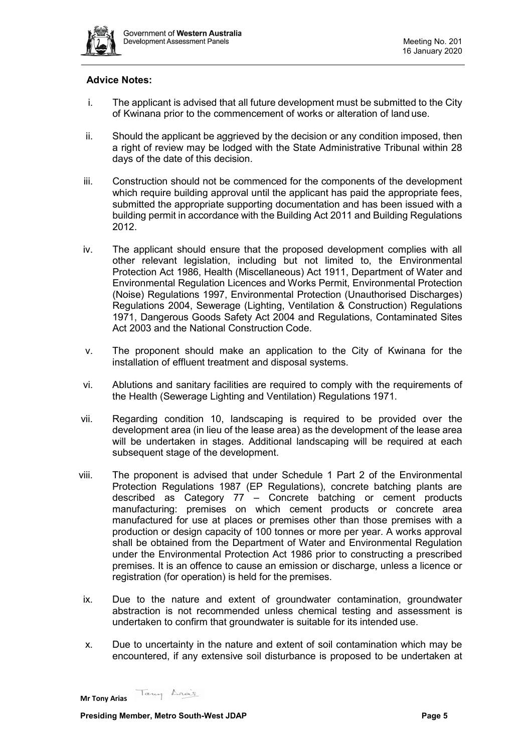

# **Advice Notes:**

- i. The applicant is advised that all future development must be submitted to the City of Kwinana prior to the commencement of works or alteration of land use.
- ii. Should the applicant be aggrieved by the decision or any condition imposed, then a right of review may be lodged with the State Administrative Tribunal within 28 days of the date of this decision.
- iii. Construction should not be commenced for the components of the development which require building approval until the applicant has paid the appropriate fees, submitted the appropriate supporting documentation and has been issued with a building permit in accordance with the Building Act 2011 and Building Regulations 2012.
- iv. The applicant should ensure that the proposed development complies with all other relevant legislation, including but not limited to, the Environmental Protection Act 1986, Health (Miscellaneous) Act 1911, Department of Water and Environmental Regulation Licences and Works Permit, Environmental Protection (Noise) Regulations 1997, Environmental Protection (Unauthorised Discharges) Regulations 2004, Sewerage (Lighting, Ventilation & Construction) Regulations 1971, Dangerous Goods Safety Act 2004 and Regulations, Contaminated Sites Act 2003 and the National Construction Code.
- v. The proponent should make an application to the City of Kwinana for the installation of effluent treatment and disposal systems.
- vi. Ablutions and sanitary facilities are required to comply with the requirements of the Health (Sewerage Lighting and Ventilation) Regulations 1971.
- vii. Regarding condition 10, landscaping is required to be provided over the development area (in lieu of the lease area) as the development of the lease area will be undertaken in stages. Additional landscaping will be required at each subsequent stage of the development.
- viii. The proponent is advised that under Schedule 1 Part 2 of the Environmental Protection Regulations 1987 (EP Regulations), concrete batching plants are described as Category 77 – Concrete batching or cement products manufacturing: premises on which cement products or concrete area manufactured for use at places or premises other than those premises with a production or design capacity of 100 tonnes or more per year. A works approval shall be obtained from the Department of Water and Environmental Regulation under the Environmental Protection Act 1986 prior to constructing a prescribed premises. It is an offence to cause an emission or discharge, unless a licence or registration (for operation) is held for the premises.
- ix. Due to the nature and extent of groundwater contamination, groundwater abstraction is not recommended unless chemical testing and assessment is undertaken to confirm that groundwater is suitable for its intended use.
- x. Due to uncertainty in the nature and extent of soil contamination which may be encountered, if any extensive soil disturbance is proposed to be undertaken at

Tany Anas **Mr Tony Arias**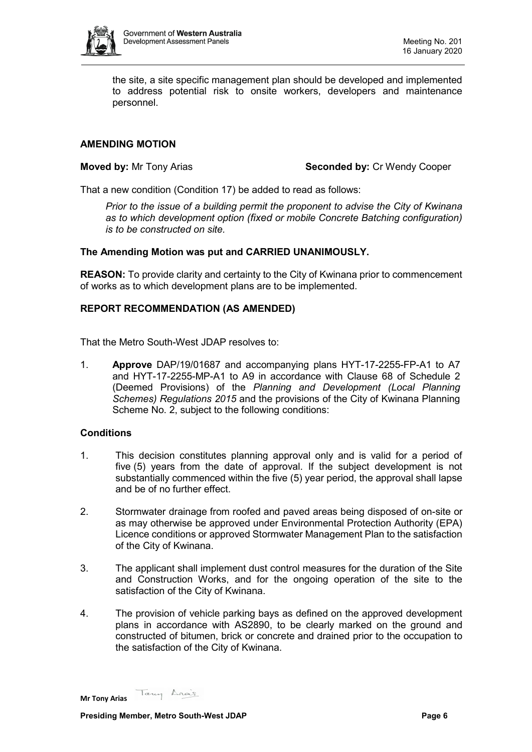

the site, a site specific management plan should be developed and implemented to address potential risk to onsite workers, developers and maintenance personnel.

# **AMENDING MOTION**

**Moved by:** Mr Tony Arias **Seconded by: Cr Wendy Cooper** 

That a new condition (Condition 17) be added to read as follows:

*Prior to the issue of a building permit the proponent to advise the City of Kwinana as to which development option (fixed or mobile Concrete Batching configuration) is to be constructed on site.*

### **The Amending Motion was put and CARRIED UNANIMOUSLY.**

**REASON:** To provide clarity and certainty to the City of Kwinana prior to commencement of works as to which development plans are to be implemented.

# **REPORT RECOMMENDATION (AS AMENDED)**

That the Metro South-West JDAP resolves to:

1. **Approve** DAP/19/01687 and accompanying plans HYT-17-2255-FP-A1 to A7 and HYT-17-2255-MP-A1 to A9 in accordance with Clause 68 of Schedule 2 (Deemed Provisions) of the *Planning and Development (Local Planning Schemes) Regulations 2015* and the provisions of the City of Kwinana Planning Scheme No. 2, subject to the following conditions:

#### **Conditions**

- 1. This decision constitutes planning approval only and is valid for a period of five (5) years from the date of approval. If the subject development is not substantially commenced within the five (5) year period, the approval shall lapse and be of no further effect.
- 2. Stormwater drainage from roofed and paved areas being disposed of on-site or as may otherwise be approved under Environmental Protection Authority (EPA) Licence conditions or approved Stormwater Management Plan to the satisfaction of the City of Kwinana.
- 3. The applicant shall implement dust control measures for the duration of the Site and Construction Works, and for the ongoing operation of the site to the satisfaction of the City of Kwinana.
- 4. The provision of vehicle parking bays as defined on the approved development plans in accordance with AS2890, to be clearly marked on the ground and constructed of bitumen, brick or concrete and drained prior to the occupation to the satisfaction of the City of Kwinana.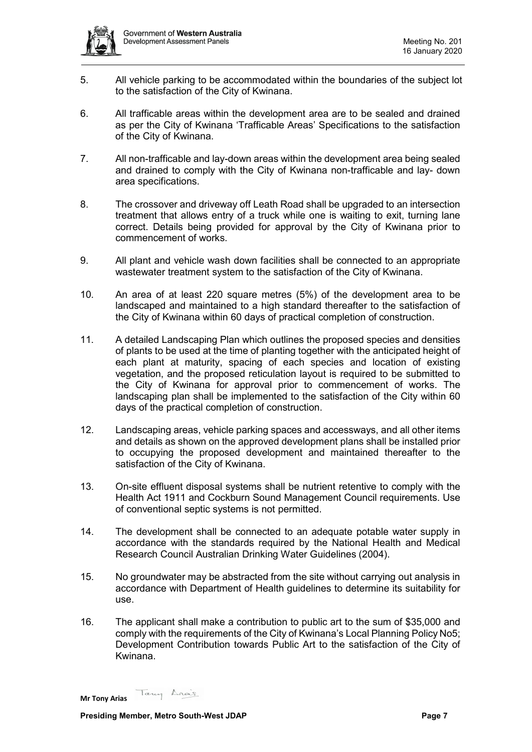

- 5. All vehicle parking to be accommodated within the boundaries of the subject lot to the satisfaction of the City of Kwinana.
- 6. All trafficable areas within the development area are to be sealed and drained as per the City of Kwinana 'Trafficable Areas' Specifications to the satisfaction of the City of Kwinana.
- 7. All non-trafficable and lay-down areas within the development area being sealed and drained to comply with the City of Kwinana non-trafficable and lay- down area specifications.
- 8. The crossover and driveway off Leath Road shall be upgraded to an intersection treatment that allows entry of a truck while one is waiting to exit, turning lane correct. Details being provided for approval by the City of Kwinana prior to commencement of works.
- 9. All plant and vehicle wash down facilities shall be connected to an appropriate wastewater treatment system to the satisfaction of the City of Kwinana.
- 10. An area of at least 220 square metres (5%) of the development area to be landscaped and maintained to a high standard thereafter to the satisfaction of the City of Kwinana within 60 days of practical completion of construction.
- 11. A detailed Landscaping Plan which outlines the proposed species and densities of plants to be used at the time of planting together with the anticipated height of each plant at maturity, spacing of each species and location of existing vegetation, and the proposed reticulation layout is required to be submitted to the City of Kwinana for approval prior to commencement of works. The landscaping plan shall be implemented to the satisfaction of the City within 60 days of the practical completion of construction.
- 12. Landscaping areas, vehicle parking spaces and accessways, and all other items and details as shown on the approved development plans shall be installed prior to occupying the proposed development and maintained thereafter to the satisfaction of the City of Kwinana.
- 13. On-site effluent disposal systems shall be nutrient retentive to comply with the Health Act 1911 and Cockburn Sound Management Council requirements. Use of conventional septic systems is not permitted.
- 14. The development shall be connected to an adequate potable water supply in accordance with the standards required by the National Health and Medical Research Council Australian Drinking Water Guidelines (2004).
- 15. No groundwater may be abstracted from the site without carrying out analysis in accordance with Department of Health guidelines to determine its suitability for use.
- 16. The applicant shall make a contribution to public art to the sum of \$35,000 and comply with the requirements of the City of Kwinana's Local Planning Policy No5; Development Contribution towards Public Art to the satisfaction of the City of Kwinana.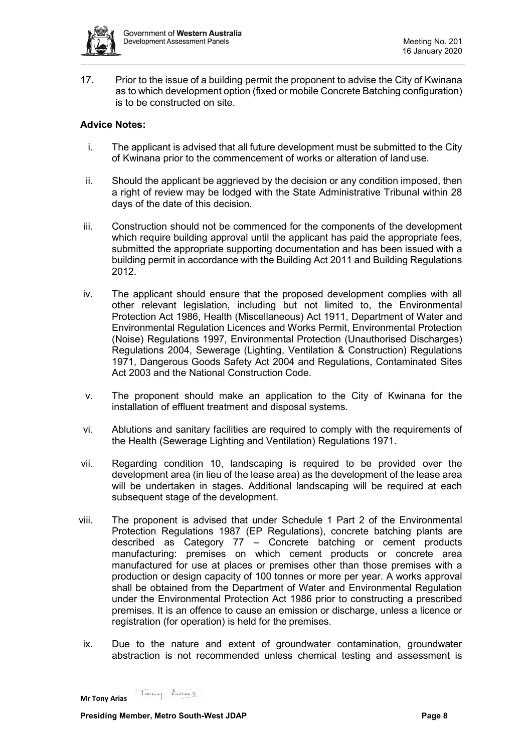

17. Prior to the issue of a building permit the proponent to advise the City of Kwinana as to which development option (fixed or mobile Concrete Batching configuration) is to be constructed on site.

# **Advice Notes:**

- i. The applicant is advised that all future development must be submitted to the City of Kwinana prior to the commencement of works or alteration of land use.
- ii. Should the applicant be aggrieved by the decision or any condition imposed, then a right of review may be lodged with the State Administrative Tribunal within 28 days of the date of this decision.
- iii. Construction should not be commenced for the components of the development which require building approval until the applicant has paid the appropriate fees, submitted the appropriate supporting documentation and has been issued with a building permit in accordance with the Building Act 2011 and Building Regulations 2012.
- iv. The applicant should ensure that the proposed development complies with all other relevant legislation, including but not limited to, the Environmental Protection Act 1986, Health (Miscellaneous) Act 1911, Department of Water and Environmental Regulation Licences and Works Permit, Environmental Protection (Noise) Regulations 1997, Environmental Protection (Unauthorised Discharges) Regulations 2004, Sewerage (Lighting, Ventilation & Construction) Regulations 1971, Dangerous Goods Safety Act 2004 and Regulations, Contaminated Sites Act 2003 and the National Construction Code.
- v. The proponent should make an application to the City of Kwinana for the installation of effluent treatment and disposal systems.
- vi. Ablutions and sanitary facilities are required to comply with the requirements of the Health (Sewerage Lighting and Ventilation) Regulations 1971.
- vii. Regarding condition 10, landscaping is required to be provided over the development area (in lieu of the lease area) as the development of the lease area will be undertaken in stages. Additional landscaping will be required at each subsequent stage of the development.
- viii. The proponent is advised that under Schedule 1 Part 2 of the Environmental Protection Regulations 1987 (EP Regulations), concrete batching plants are described as Category 77 – Concrete batching or cement products manufacturing: premises on which cement products or concrete area manufactured for use at places or premises other than those premises with a production or design capacity of 100 tonnes or more per year. A works approval shall be obtained from the Department of Water and Environmental Regulation under the Environmental Protection Act 1986 prior to constructing a prescribed premises. It is an offence to cause an emission or discharge, unless a licence or registration (for operation) is held for the premises.
- ix. Due to the nature and extent of groundwater contamination, groundwater abstraction is not recommended unless chemical testing and assessment is

Tany Anas **Mr Tony Arias**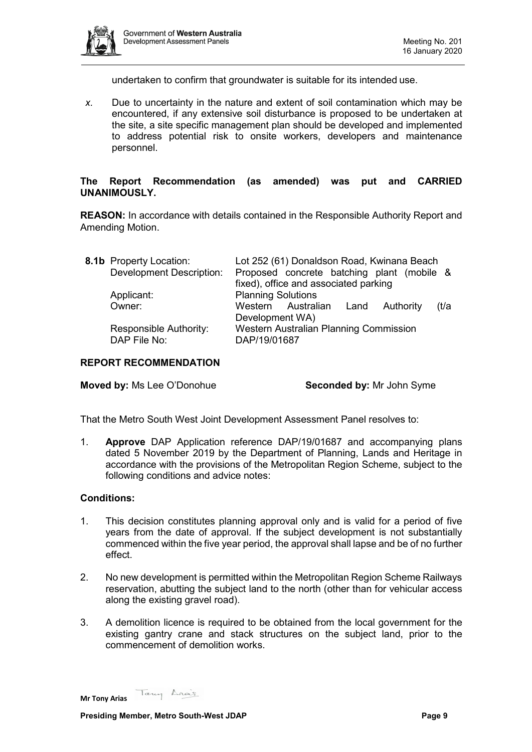

undertaken to confirm that groundwater is suitable for its intended use.

*x.* Due to uncertainty in the nature and extent of soil contamination which may be encountered, if any extensive soil disturbance is proposed to be undertaken at the site, a site specific management plan should be developed and implemented to address potential risk to onsite workers, developers and maintenance personnel.

# **The Report Recommendation (as amended) was put and CARRIED UNANIMOUSLY.**

**REASON:** In accordance with details contained in the Responsible Authority Report and Amending Motion.

| 8.1b Property Location:                | Lot 252 (61) Donaldson Road, Kwinana Beach                    |
|----------------------------------------|---------------------------------------------------------------|
| Development Description:               | Proposed concrete batching plant (mobile &                    |
|                                        | fixed), office and associated parking                         |
| Applicant:                             | <b>Planning Solutions</b>                                     |
| Owner:                                 | Western Australian Land<br>Authority<br>(t/a                  |
|                                        | Development WA)                                               |
| Responsible Authority:<br>DAP File No: | <b>Western Australian Planning Commission</b><br>DAP/19/01687 |
|                                        |                                                               |

### **REPORT RECOMMENDATION**

**Moved by:** Ms Lee O'Donohue **Seconded by:** Mr John Syme

That the Metro South West Joint Development Assessment Panel resolves to:

1. **Approve** DAP Application reference DAP/19/01687 and accompanying plans dated 5 November 2019 by the Department of Planning, Lands and Heritage in accordance with the provisions of the Metropolitan Region Scheme, subject to the following conditions and advice notes:

#### **Conditions:**

- 1. This decision constitutes planning approval only and is valid for a period of five years from the date of approval. If the subject development is not substantially commenced within the five year period, the approval shall lapse and be of no further effect.
- 2. No new development is permitted within the Metropolitan Region Scheme Railways reservation, abutting the subject land to the north (other than for vehicular access along the existing gravel road).
- 3. A demolition licence is required to be obtained from the local government for the existing gantry crane and stack structures on the subject land, prior to the commencement of demolition works.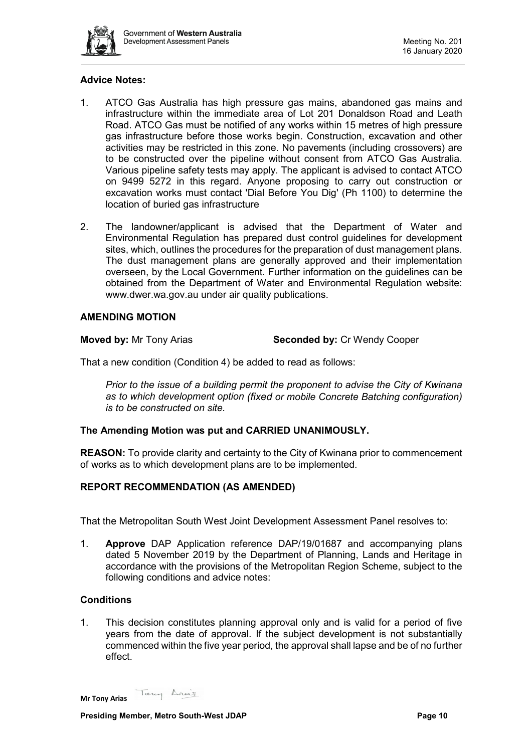

# **Advice Notes:**

- 1. ATCO Gas Australia has high pressure gas mains, abandoned gas mains and infrastructure within the immediate area of Lot 201 Donaldson Road and Leath Road. ATCO Gas must be notified of any works within 15 metres of high pressure gas infrastructure before those works begin. Construction, excavation and other activities may be restricted in this zone. No pavements (including crossovers) are to be constructed over the pipeline without consent from ATCO Gas Australia. Various pipeline safety tests may apply. The applicant is advised to contact ATCO on 9499 5272 in this regard. Anyone proposing to carry out construction or excavation works must contact 'Dial Before You Dig' (Ph 1100) to determine the location of buried gas infrastructure
- 2. The landowner/applicant is advised that the Department of Water and Environmental Regulation has prepared dust control guidelines for development sites, which, outlines the procedures for the preparation of dust management plans. The dust management plans are generally approved and their implementation overseen, by the Local Government. Further information on the guidelines can be obtained from the Department of Water and Environmental Regulation website: www.dwer.wa.gov.au under air quality publications.

# **AMENDING MOTION**

**Moved by:** Mr Tony Arias **Seconded by:** Cr Wendy Cooper

That a new condition (Condition 4) be added to read as follows:

*Prior to the issue of a building permit the proponent to advise the City of Kwinana as to which development option (fixed or mobile Concrete Batching configuration) is to be constructed on site.*

### **The Amending Motion was put and CARRIED UNANIMOUSLY.**

**REASON:** To provide clarity and certainty to the City of Kwinana prior to commencement of works as to which development plans are to be implemented.

#### **REPORT RECOMMENDATION (AS AMENDED)**

That the Metropolitan South West Joint Development Assessment Panel resolves to:

1. **Approve** DAP Application reference DAP/19/01687 and accompanying plans dated 5 November 2019 by the Department of Planning, Lands and Heritage in accordance with the provisions of the Metropolitan Region Scheme, subject to the following conditions and advice notes:

#### **Conditions**

1. This decision constitutes planning approval only and is valid for a period of five years from the date of approval. If the subject development is not substantially commenced within the five year period, the approval shall lapse and be of no further effect.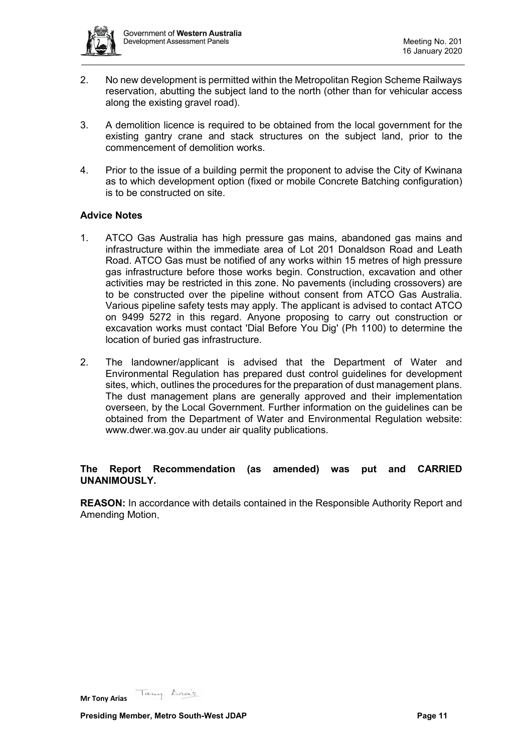

- 2. No new development is permitted within the Metropolitan Region Scheme Railways reservation, abutting the subject land to the north (other than for vehicular access along the existing gravel road).
- 3. A demolition licence is required to be obtained from the local government for the existing gantry crane and stack structures on the subject land, prior to the commencement of demolition works.
- 4. Prior to the issue of a building permit the proponent to advise the City of Kwinana as to which development option (fixed or mobile Concrete Batching configuration) is to be constructed on site.

# **Advice Notes**

- 1. ATCO Gas Australia has high pressure gas mains, abandoned gas mains and infrastructure within the immediate area of Lot 201 Donaldson Road and Leath Road. ATCO Gas must be notified of any works within 15 metres of high pressure gas infrastructure before those works begin. Construction, excavation and other activities may be restricted in this zone. No pavements (including crossovers) are to be constructed over the pipeline without consent from ATCO Gas Australia. Various pipeline safety tests may apply. The applicant is advised to contact ATCO on 9499 5272 in this regard. Anyone proposing to carry out construction or excavation works must contact 'Dial Before You Dig' (Ph 1100) to determine the location of buried gas infrastructure.
- 2. The landowner/applicant is advised that the Department of Water and Environmental Regulation has prepared dust control guidelines for development sites, which, outlines the procedures for the preparation of dust management plans. The dust management plans are generally approved and their implementation overseen, by the Local Government. Further information on the guidelines can be obtained from the Department of Water and Environmental Regulation website: www.dwer.wa.gov.au under air quality publications.

# **The Report Recommendation (as amended) was put and CARRIED UNANIMOUSLY.**

**REASON:** In accordance with details contained in the Responsible Authority Report and Amending Motion.